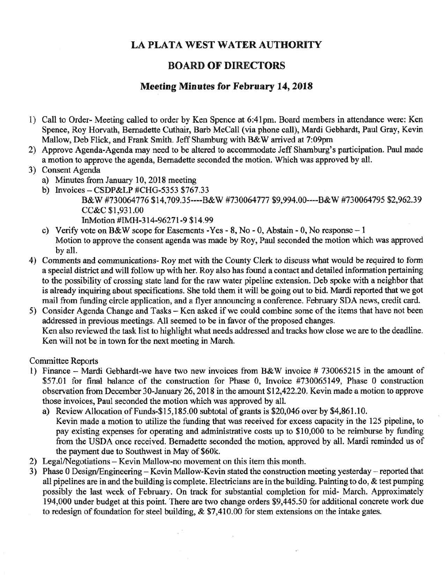## **LA PLATA WEST WATER AUTHORITY**

## **BOARD OF DIRECTORS**

## **Meeting Minutes for February 14,2018**

- 1) Call to Order- Meeting called to order by Ken Spence at 6:41pm. Board members in attendance were: Ken Spence, Roy Horvath, Bernadette Cuthair, Barb McCall (via phone call), Mardi Gebhardt, Paul Gray, Kevin Mallow, Deb Flick, and Frank Smith. Jeff Shamburg with B&W arrived at 7:09pm
- 2) Approve Agenda-Agenda may need to be altered to accommodate Jeff Shamburg's participation. Paul made a motion to approve the agenda, Bernadette seconded the motion. Which was approved by all.
- 3) Consent Agenda
	- a) Minutes from January 10, 2018 meeting
	- b) Invoices CSDP&LP #CHG-5353 \$767.33 B&W #730064776 \$14,709.35----B&W #730064777 \$9,994.00----B&W #730064795 \$2,962.39 CC&C \$1,931.00 InMotion #IMH-314-96271-9 \$14.99
	- c) Verify vote on B&W scope for Easements -Yes 8, No 0, Abstain 0, No response 1 Motion to approve the consent agenda was made by Roy, Paul seconded the motion which was approved by all.
- 4) Comments and communications- Roy met with the County Clerk to discuss what would be required to form a special district and will follow up with her. Roy also has found a contact and detailed information pertaining to the possibility of crossing state land for the raw water pipeline extension. Deb spoke with a neighbor that is already inquiring about specifications. She told them it will be going out to bid. Mardi reported that we got mail from funding circle application, and a flyer announcing a conference. February SDA news, credit card.
- 5) Consider Agenda Change and Tasks Ken asked if we could combine some of the items that have not been addressed in previous meetings. All seemed to be in favor of the proposed changes. Ken also reviewed the task list to highlight what needs addressed and tracks how close we are to the deadline. Ken will not be in town for the next meeting in March.

## Committee Reports

- 1) Finance Mardi Gebhardt-we have two new invoices from B&W invoice # 730065215 in the amount of \$57.01 for final balance of the construction for Phase 0, Invoice #730065149, Phase 0 construction observation from December 30-January 26,2018 in the amount \$12,422.20. Kevin made a motion to approve those invoices, Paul seconded the motion which was approved by all.
	- a) Review Allocation of Funds-\$15,185.00 subtotal of grants is \$20,046 over by \$4,861.10. Kevin made a motion to utilize the funding that was received for excess capacity in the 125 pipeline, to pay existing expenses for operating and administrative costs up to \$10,000 to be reimburse by funding from the USDA once received. Bernadette seconded the motion, approved by all. Mardi reminded us of the payment due to Southwest in May of \$60k.
- 2) Legal/Negotiations Kevin Mallow-no movement on this item this month.
- 3) Phase 0 Design/Engineering Kevin Mallow-Kevin stated the construction meeting yesterday reported that all pipelines are in and the building is complete. Electricians are in the building. Painting to do, & test pumping possibly the last week of February. On track for substantial completion for mid- March. Approximately 194,000 under budget at this point. There are two change orders \$9,445.50 for additional concrete work due to redesign of foundation for steel building, & \$7,410.00 for stem extensions on the intake gates.

 $\lambda$